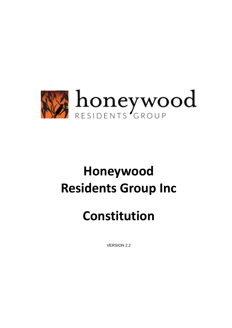

# **Honeywood Residents Group Inc**

# **Constitution**

VERSION 2.2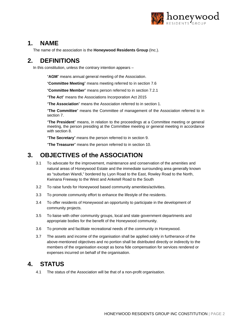

#### <span id="page-1-0"></span>**1. NAME**

The name of the association is the **Honeywood Residents Group** (Inc.).

# **2. DEFINITIONS**

In this constitution, unless the contrary intention appears –

"**AGM**" means annual general meeting of the Association.

"**Committee Meeting**" means meeting referred to in section [7.6](#page-4-0)

"**Committee Member**" means person referred to in section [7.2.1](#page-2-0)

"**The Act**" means the Associations Incorporation Act 2015

"**The Association**" means the Association referred to in section [1.](#page-1-0) 

"**The Committee**" means the Committee of management of the Association referred to in section [7.](#page-2-1) 

"**The President**" means, in relation to the proceedings at a Committee meeting or general meeting, the person presiding at the Committee meeting or general meeting in accordance with section [8.](#page-4-1) 

"**The Secretary**" means the person referred to in section [9.](#page-4-2) 

"**The Treasurer**" means the person referred to in section [10.](#page-4-3) 

# **3. OBJECTIVES of the ASSOCIATION**

- 3.1 To advocate for the improvement, maintenance and conservation of the amenities and natural areas of Honeywood Estate and the immediate surrounding area generally known as "suburban Wandi," bordered by Lyon Road to the East, Rowley Road to the North, Kwinana Freeway to the West and Anketell Road to the South
- 3.2 To raise funds for Honeywood based community amenities/activities.
- 3.3 To promote community effort to enhance the lifestyle of the residents.
- 3.4 To offer residents of Honeywood an opportunity to participate in the development of community projects.
- 3.5 To liaise with other community groups, local and state government departments and appropriate bodies for the benefit of the Honeywood community.
- 3.6 To promote and facilitate recreational needs of the community in Honeywood.
- 3.7 The assets and income of the organisation shall be applied solely in furtherance of the above-mentioned objectives and no portion shall be distributed directly or indirectly to the members of the organisation except as bona fide compensation for services rendered or expenses incurred on behalf of the organisation.

#### **4. STATUS**

4.1 The status of the Association will be that of a non-profit organisation.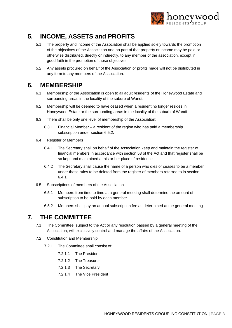

# **5. INCOME, ASSETS and PROFITS**

- 5.1 The property and income of the Association shall be applied solely towards the promotion of the objectives of the Association and no part of that property or income may be paid or otherwise distributed, directly or indirectly, to any member of the association, except in good faith in the promotion of those objectives.
- 5.2 Any assets procured on behalf of the Association or profits made will not be distributed in any form to any members of the Association.

#### **6. MEMBERSHIP**

- 6.1 Membership of the Association is open to all adult residents of the Honeywood Estate and surrounding areas in the locality of the suburb of Wandi.
- 6.2 Membership will be deemed to have ceased when a resident no longer resides in Honeywood Estate or the surrounding areas in the locality of the suburb of Wandi.
- 6.3 There shall be only one level of membership of the Association:
	- 6.3.1 Financial Member a resident of the region who has paid a membership subscription under section [6.5.2.](#page-2-2)
- <span id="page-2-3"></span>6.4 Register of Members
	- 6.4.1 The Secretary shall on behalf of the Association keep and maintain the register of financial members in accordance with section 53 of the Act and that register shall be so kept and maintained at his or her place of residence.
	- 6.4.2 The Secretary shall cause the name of a person who dies or ceases to be a member under these rules to be deleted from the register of members referred to in section [6.4.1.](#page-2-3)
- 6.5 Subscriptions of members of the Association
	- 6.5.1 Members from time to time at a general meeting shall determine the amount of subscription to be paid by each member.
	- 6.5.2 Members shall pay an annual subscription fee as determined at the general meeting.

# <span id="page-2-2"></span><span id="page-2-1"></span>**7. THE COMMITTEE**

- 7.1 The Committee, subject to the Act or any resolution passed by a general meeting of the Association, will exclusively control and manage the affairs of the Association.
- <span id="page-2-0"></span>7.2 Constitution and Membership
	- 7.2.1 The Committee shall consist of:
		- 7.2.1.1 The President
		- 7.2.1.2 The Treasurer
		- 7.2.1.3 The Secretary
		- 7.2.1.4 The Vice President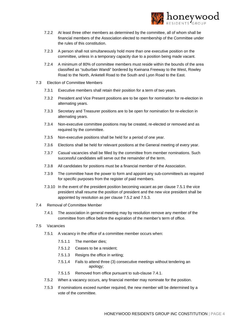

- 7.2.2 At least three other members as determined by the committee, all of whom shall be financial members of the Association elected to membership of the Committee under the rules of this constitution.
- 7.2.3 A person shall not simultaneously hold more than one executive position on the committee, unless in a temporary capacity due to a position being made vacant.
- 7.2.4 A minimum of 80% of committee members must reside within the bounds of the area classified as "suburban Wandi" bordered by Kwinana Freeway to the West, Rowley Road to the North, Anketell Road to the South and Lyon Road to the East.
- 7.3 Election of Committee Members
	- 7.3.1 Executive members shall retain their position for a term of two years.
	- 7.3.2 President and Vice Present positions are to be open for nomination for re-election in alternating years.
	- 7.3.3 Secretary and Treasurer positions are to be open for nomination for re-election in alternating years.
	- 7.3.4 Non-executive committee positions may be created, re-elected or removed and as required by the committee.
	- 7.3.5 Non-executive positions shall be held for a period of one year.
	- 7.3.6 Elections shall be held for relevant positions at the General meeting of every year.
	- 7.3.7 Casual vacancies shall be filled by the committee from member nominations. Such successful candidates will serve out the remainder of the term.
	- 7.3.8 All candidates for positions must be a financial member of the Association.
	- 7.3.9 The committee have the power to form and appoint any sub-committee/s as required for specific purposes from the register of paid members.
	- 7.3.10 In the event of the president position becoming vacant as per clause [7.5.1](#page-3-0) the vice president shall resume the position of president and the new vice president shall be appointed by resolution as per clause [7.5.2](#page-3-1) and [7.5.3.](#page-3-2)

#### <span id="page-3-3"></span>7.4 Removal of Committee Member

7.4.1 The association in general meeting may by resolution remove any member of the committee from office before the expiration of the member's term of office.

#### <span id="page-3-0"></span>7.5 Vacancies

- 7.5.1 A vacancy in the office of a committee member occurs when:
	- 7.5.1.1 The member dies;
	- 7.5.1.2 Ceases to be a resident;
	- 7.5.1.3 Resigns the office in writing;
	- 7.5.1.4 Fails to attend three (3) consecutive meetings without tendering an apology;
	- 7.5.1.5 Removed from office pursuant to sub-clause [7.4.1.](#page-3-3)
- <span id="page-3-1"></span>7.5.2 When a vacancy occurs, any financial member may nominate for the position.
- <span id="page-3-2"></span>7.5.3 If nominations exceed number required, the new member will be determined by a vote of the committee.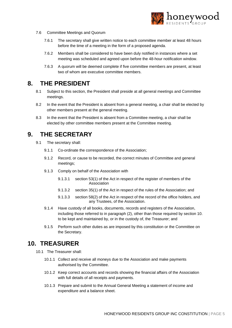

- <span id="page-4-0"></span>7.6 Committee Meetings and Quorum
	- 7.6.1 The secretary shall give written notice to each committee member at least 48 hours before the time of a meeting in the form of a proposed agenda.
	- 7.6.2 Members shall be considered to have been duly notified in instances where a set meeting was scheduled and agreed upon before the 48-hour notification window.
	- 7.6.3 A quorum will be deemed complete if five committee members are present, at least two of whom are executive committee members.

#### <span id="page-4-1"></span>**8. THE PRESIDENT**

- 8.1 Subject to this section, the President shall preside at all general meetings and Committee meetings.
- 8.2 In the event that the President is absent from a general meeting, a chair shall be elected by other members present at the general meeting.
- 8.3 In the event that the President is absent from a Committee meeting, a chair shall be elected by other committee members present at the Committee meeting.

#### <span id="page-4-2"></span>**9. THE SECRETARY**

- 9.1 The secretary shall:
	- 9.1.1 Co-ordinate the correspondence of the Association;
	- 9.1.2 Record, or cause to be recorded, the correct minutes of Committee and general meetings;
	- 9.1.3 Comply on behalf of the Association with
		- 9.1.3.1 section 53(1) of the Act in respect of the register of members of the Association
		- 9.1.3.2 section 35(1) of the Act in respect of the rules of the Association; and
		- 9.1.3.3 section 58(2) of the Act in respect of the record of the office holders, and any Trustees, of the Association.
	- 9.1.4 Have custody of all books, documents, records and registers of the Association, including those referred to in paragraph (2), other than those required by section [10.](#page-4-3)  to be kept and maintained by, or in the custody of, the Treasurer; and
	- 9.1.5 Perform such other duties as are imposed by this constitution or the Committee on the Secretary.

#### <span id="page-4-3"></span>**10. TREASURER**

- 10.1 The Treasurer shall:
	- 10.1.1 Collect and receive all moneys due to the Association and make payments authorised by the Committee.
	- 10.1.2 Keep correct accounts and records showing the financial affairs of the Association with full details of all receipts and payments.
	- 10.1.3 Prepare and submit to the Annual General Meeting a statement of income and expenditure and a balance sheet.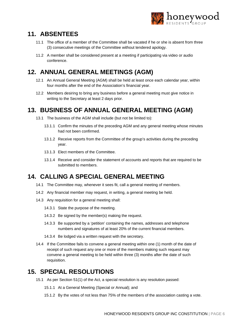

# **11. ABSENTEES**

- 11.1 The office of a member of the Committee shall be vacated if he or she is absent from three (3) consecutive meetings of the Committee without tendered apology.
- 11.2 A member shall be considered present at a meeting if participating via video or audio conference.

# **12. ANNUAL GENERAL MEETINGS (AGM)**

- 12.1 An Annual General Meeting (AGM) shall be held at least once each calendar year, within four months after the end of the Association's financial year.
- 12.2 Members desiring to bring any business before a general meeting must give notice in writing to the Secretary at least 2 days prior.

# **13. BUSINESS OF ANNUAL GENERAL MEETING (AGM)**

- 13.1 The business of the AGM shall include (but not be limited to):
	- 13.1.1 Confirm the minutes of the preceding AGM and any general meeting whose minutes had not been confirmed.
	- 13.1.2 Receive reports from the Committee of the group's activities during the preceding year.
	- 13.1.3 Elect members of the Committee.
	- 13.1.4 Receive and consider the statement of accounts and reports that are required to be submitted to members.

# **14. CALLING A SPECIAL GENERAL MEETING**

- 14.1 The Committee may, whenever it sees fit, call a general meeting of members.
- 14.2 Any financial member may request, in writing, a general meeting be held.
- 14.3 Any requisition for a general meeting shall:
	- 14.3.1 State the purpose of the meeting.
	- 14.3.2 Be signed by the member(s) making the request.
	- 14.3.3 Be supported by a 'petition' containing the names, addresses and telephone numbers and signatures of at least 20% of the current financial members.
	- 14.3.4 Be lodged via a written request with the secretary.
- 14.4 If the Committee fails to convene a general meeting within one (1) month of the date of receipt of such request any one or more of the members making such request may convene a general meeting to be held within three (3) months after the date of such requisition.

# **15. SPECIAL RESOLUTIONS**

- 15.1 As per Section 51(1) of the Act, a special resolution is any resolution passed:
	- 15.1.1 At a General Meeting (Special or Annual); and
	- 15.1.2 By the votes of not less than 75% of the members of the association casting a vote.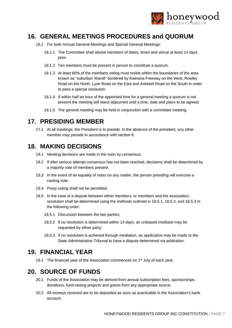

#### **16. GENERAL MEETINGS PROCEDURES and QUORUM**

- 16.1 For both Annual General Meetings and Special General Meetings:
	- 16.1.1 The Committee shall advise members of dates, times and venue at least 14 days prior.
	- 16.1.2 Ten members must be present in person to constitute a quorum.
	- 16.1.3 At least 80% of the members voting must reside within the boundaries of the area known as "suburban Wandi" bordered by Kwinana Freeway on the West, Rowley Road on the North, Lyon Road on the East and Anketell Road on the South in order to pass a special resolution.
	- 16.1.4 If within half an hour of the appointed time for a general meeting a quorum is not present the meeting will stand adjourned until a time, date and place to be agreed.
	- 16.1.5 The general meeting may be held in conjunction with a committee meeting.

# **17. PRESIDING MEMBER**

17.1 At all meetings, the President is to preside. In the absence of the president, any other member may preside in accordance with section [8.](#page-4-1) 

# **18. MAKING DECISIONS**

- 18.1 Meeting decisions are made in the main by consensus.
- 18.2 If after serious attempt consensus has not been reached, decisions shall be determined by a majority vote of members present.
- 18.3 In the event of an equality of votes on any matter, the person presiding will exercise a casting vote.
- 18.4 Proxy voting shall not be permitted.
- <span id="page-6-1"></span><span id="page-6-0"></span>18.5 In the case of a dispute between either members, or members and the association, resolution shall be determined using the methods outlined in [18.5.1,](#page-6-0) [18.5.2,](#page-6-1) an[d 18.5.3](#page-6-2) in the following order:
	- 18.5.1 Discussion between the two parties;
	- 18.5.2 If no resolution is determined within 14 days, an unbiased mediator may be requested by either party;
	- 18.5.3 If no resolution is achieved through mediation, an application may be made to the State Administrative Tribunal to have a dispute determined via arbitration.

# <span id="page-6-2"></span>**19. FINANCIAL YEAR**

19.1 The financial year of the Association commences on  $1<sup>st</sup>$  July of each year.

# **20. SOURCE OF FUNDS**

- 20.1 Funds of the Association may be derived from annual subscription fees, sponsorships, donations, fund-raising projects and grants from any appropriate source.
- 20.2 All moneys received are to be deposited as soon as practicable in the Association's bank account.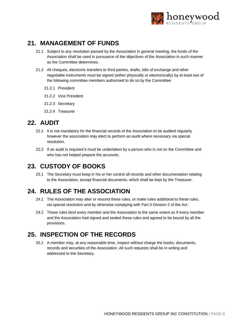

# **21. MANAGEMENT OF FUNDS**

- 21.1 Subject to any resolution passed by the Association in general meeting, the funds of the Association shall be used in pursuance of the objectives of the Association in such manner as the Committee determines.
- 21.2 All cheques, electronic transfers to third parties, drafts, bills of exchange and other negotiable instruments must be signed (either physically or electronically) by at least two of the following committee members authorised to do so by the Committee:
	- 21.2.1 President
	- 21.2.2 Vice President
	- 21.2.3 Secretary
	- 21.2.4 Treasurer

# **22. AUDIT**

- 22.1 It is not mandatory for the financial records of the Association to be audited regularly however the association may elect to perform an audit where necessary via special resolution.
- 22.2 If an audit is required it must be undertaken by a person who is not on the Committee and who has not helped prepare the accounts.

# **23. CUSTODY OF BOOKS**

23.1 The Secretary must keep in his or her control all records and other documentation relating to the Association, except financial documents, which shall be kept by the Treasurer.

# **24. RULES OF THE ASSOCIATION**

- 24.1 The Association may alter or rescind these rules, or make rules additional to these rules, via special resolution and by otherwise complying with Part 3 Division 2 of the Act.
- 24.2 These rules bind every member and the Association to the same extent as if every member and the Association had signed and sealed these rules and agreed to be bound by all the provisions.

# **25. INSPECTION OF THE RECORDS**

25.1 A member may, at any reasonable time, inspect without charge the books, documents, records and securities of the Association. All such requests shall be in writing and addressed to the Secretary.